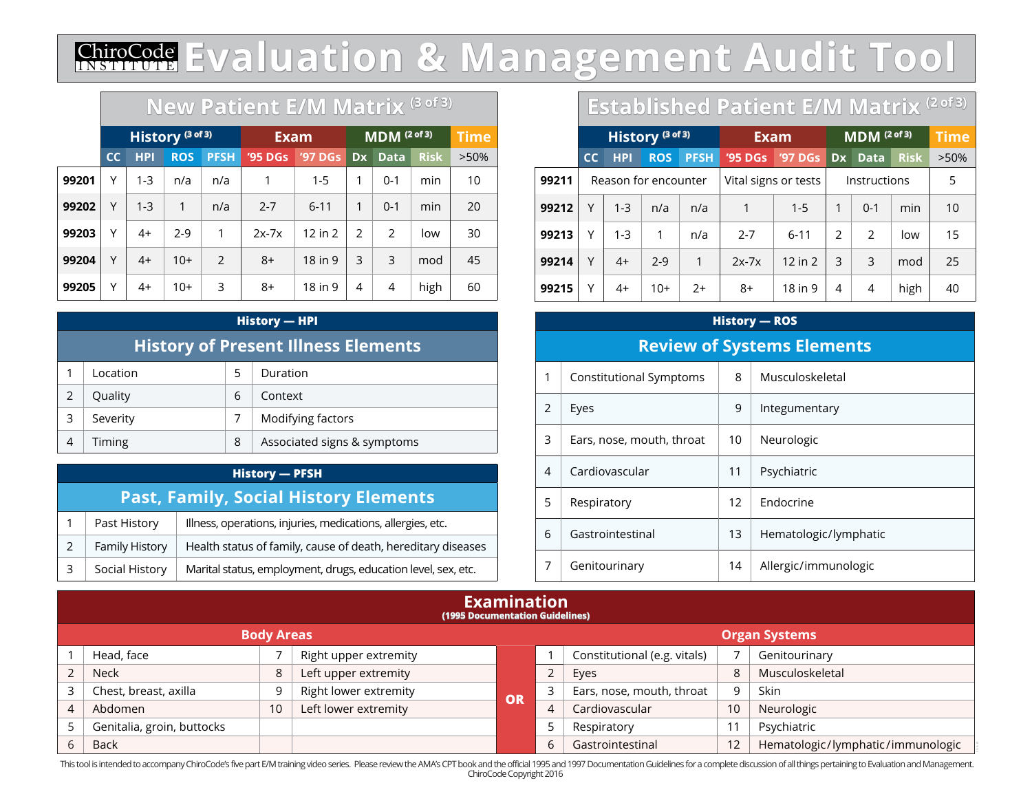#### ChiroCode <u>IN STITUTE</u> **Evaluation & Management Audit Tool**

|       | New Patient E/M Matrix (3 of 3) |            |                             |               |             |                         |              |               |             |         |
|-------|---------------------------------|------------|-----------------------------|---------------|-------------|-------------------------|--------------|---------------|-------------|---------|
|       |                                 |            | History <sup>(3 of 3)</sup> |               | <b>Exam</b> | MDM <sup>(2 of 3)</sup> |              |               | <b>Time</b> |         |
|       | cc                              | <b>HPI</b> | <b>ROS</b>                  | <b>PFSH</b>   | '95 DGs     | <b>'97 DGs</b>          | <b>Dx</b>    | <b>Data</b>   | <b>Risk</b> | $>50\%$ |
| 99201 | Υ                               | $1 - 3$    | n/a                         | n/a           | 1           | $1 - 5$                 | 1            | $0 - 1$       | min         | 10      |
| 99202 | Υ                               | $1 - 3$    | $\mathbf{1}$                | n/a           | $2 - 7$     | $6 - 11$                | $\mathbf{1}$ | $0 - 1$       | min         | 20      |
| 99203 | Υ                               | $4+$       | $2 - 9$                     | 1             | $2x-7x$     | $12$ in $2$             | 2            | $\mathcal{P}$ | low         | 30      |
| 99204 | Υ                               | $4+$       | $10+$                       | $\mathcal{P}$ | $8+$        | 18 in 9                 | 3            | 3             | mod         | 45      |
| 99205 | Υ                               | 4+         | $10+$                       | 3             | $8+$        | 18 in 9                 | 4            | 4             | high        | 60      |

#### **History — HPI**

## **History of Present Illness Elements**

|   | Location |   | Duration                    |
|---|----------|---|-----------------------------|
|   | Quality  | 6 | Context                     |
| 3 | Severity |   | Modifying factors           |
|   | Timing   | 8 | Associated signs & symptoms |

### **History — PFSH Past, Family, Social History Elements** Past History Illness, operations, injuries, medications, allergies, etc.

|  | Family History $\parallel$ Health status of family, cause of death, hereditary diseases |
|--|-----------------------------------------------------------------------------------------|
|  | Social History   Marital status, employment, drugs, education level, sex, etc.          |

## **Established Patient E/M Matrix (2 of 3)**

|       | History <sup>(3 of 3)</sup> |            |                      |             |                      | <b>Exam</b> |               | $\overline{\mathsf{MDM}}$ (2 of 3) | <b>Time</b> |         |
|-------|-----------------------------|------------|----------------------|-------------|----------------------|-------------|---------------|------------------------------------|-------------|---------|
|       | cc                          | <b>HPI</b> | <b>ROS</b>           | <b>PFSH</b> | '95 DGs              | '97 DGs     | Dx            | <b>Data</b>                        | <b>Risk</b> | $>50\%$ |
| 99211 |                             |            | Reason for encounter |             | Vital signs or tests |             | Instructions  |                                    |             | 5       |
| 99212 | Υ                           | $1 - 3$    | n/a                  | n/a         | 1                    | $1 - 5$     | 1             | $0 - 1$                            | min         | 10      |
| 99213 | Υ                           | $1 - 3$    | 1                    | n/a         | $2 - 7$              | $6 - 11$    | $\mathcal{P}$ | $\mathcal{P}$                      | low         | 15      |
| 99214 | Υ                           | $4+$       | $2-9$                | 1           | $2x-7x$              | $12$ in $2$ | 3             | 3                                  | mod         | 25      |
| 99215 | Υ                           | $4+$       | $10+$                | $2+$        | 8+                   | 18 in 9     | 4             | 4                                  | high        | 40      |

# **History — ROS Review of Systems Elements** 1 | Constitutional Symptoms | 8 | Musculoskeletal 2 Eyes 2 9 Integumentary 3 Ears, nose, mouth, throat 10 Neurologic 4 Cardiovascular 11 Psychiatric 5 Respiratory 12 Endocrine 6 Gastrointestinal 13 Hematologic/lymphatic 7 Genitourinary 14 Allergic/immunologic

| <b>Examination</b><br>(1995 Documentation Guidelines) |    |                       |    |   |                              |    |                                   |  |
|-------------------------------------------------------|----|-----------------------|----|---|------------------------------|----|-----------------------------------|--|
| <b>Body Areas</b><br><b>Organ Systems</b>             |    |                       |    |   |                              |    |                                   |  |
| Head, face                                            |    | Right upper extremity |    |   | Constitutional (e.g. vitals) |    | Genitourinary                     |  |
| <b>Neck</b>                                           | 8  | Left upper extremity  |    |   | Eyes                         | 8  | Musculoskeletal                   |  |
| Chest, breast, axilla                                 | 9  | Right lower extremity | OR |   | Ears, nose, mouth, throat    | a  | Skin                              |  |
| Abdomen                                               | 10 | Left lower extremity  |    | 4 | Cardiovascular               | 10 | Neurologic                        |  |
| Genitalia, groin, buttocks                            |    |                       |    |   | Respiratory                  |    | Psychiatric                       |  |
| <b>Back</b>                                           |    |                       |    | 6 | Gastrointestinal             | 12 | Hematologic/lymphatic/immunologic |  |

This tool is intended to accompany ChiroCode's five part E/M training video series. Please review the AMA's CPT book and the official 1995 and 1997 Documentation Guidelines for a complete discussion of all things pertainin ChiroCode Copyright 2016